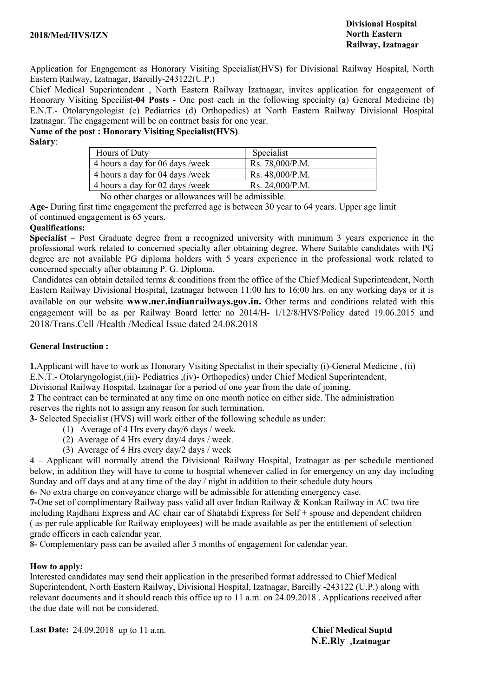Application for Engagement as Honorary Visiting Specialist(HVS) for Divisional Railway Hospital, North Eastern Railway, Izatnagar, Bareilly-243122(U.P.)

Chief Medical Superintendent , North Eastern Railway Izatnagar, invites application for engagement of Honorary Visiting Specilist-04 Posts - One post each in the following specialty (a) General Medicine (b) E.N.T.- Otolaryngologist (c) Pediatrics (d) Orthopedics) at North Eastern Railway Divisional Hospital Izatnagar. The engagement will be on contract basis for one year.

# Name of the post : Honorary Visiting Specialist(HVS).

Salary:

| Hours of Duty                   | Specialist      |  |
|---------------------------------|-----------------|--|
| 4 hours a day for 06 days /week | Rs. 78,000/P.M. |  |
| 4 hours a day for 04 days /week | Rs. 48,000/P.M. |  |
| 4 hours a day for 02 days /week | Rs. 24,000/P.M. |  |
| ______                          |                 |  |

No other charges or allowances will be admissible.

Age- During first time engagement the preferred age is between 30 year to 64 years. Upper age limit of continued engagement is 65 years.

### Qualifications:

Specialist – Post Graduate degree from a recognized university with minimum 3 years experience in the professional work related to concerned specialty after obtaining degree. Where Suitable candidates with PG degree are not available PG diploma holders with 5 years experience in the professional work related to concerned specialty after obtaining P. G. Diploma.

Candidates can obtain detailed terms & conditions from the office of the Chief Medical Superintendent, North Eastern Railway Divisional Hospital, Izatnagar between 11:00 hrs to 16:00 hrs. on any working days or it is available on our website www.ner.indianrailways.gov.in. Other terms and conditions related with this engagement will be as per Railway Board letter no 2014/H- 1/12/8/HVS/Policy dated 19.06.2015 and 2018/Trans.Cell /Health /Medical Issue dated 24.08.2018

### General Instruction :

1.Applicant will have to work as Honorary Visiting Specialist in their specialty (i)-General Medicine , (ii) E.N.T.- Otolaryngologist,(iii)- Pediatrics ,(iv)- Orthopedics) under Chief Medical Superintendent,

Divisional Railway Hospital, Izatnagar for a period of one year from the date of joining.

2 The contract can be terminated at any time on one month notice on either side. The administration reserves the rights not to assign any reason for such termination.

3- Selected Specialist (HVS) will work either of the following schedule as under:

- (1) Average of 4 Hrs every day/6 days / week.
- (2) Average of 4 Hrs every day/4 days / week.
- (3) Average of 4 Hrs every day/2 days / week

4 – Applicant will normally attend the Divisional Railway Hospital, Izatnagar as per schedule mentioned below, in addition they will have to come to hospital whenever called in for emergency on any day including Sunday and off days and at any time of the day / night in addition to their schedule duty hours 6- No extra charge on conveyance charge will be admissible for attending emergency case.

7-One set of complimentary Railway pass valid all over Indian Railway & Konkan Railway in AC two tire including Rajdhani Express and AC chair car of Shatabdi Express for Self + spouse and dependent children ( as per rule applicable for Railway employees) will be made available as per the entitlement of selection grade officers in each calendar year.

8- Complementary pass can be availed after 3 months of engagement for calendar year.

#### How to apply:

Interested candidates may send their application in the prescribed format addressed to Chief Medical Superintendent, North Eastern Railway, Divisional Hospital, Izatnagar, Bareilly -243122 (U.P.) along with relevant documents and it should reach this office up to 11 a.m. on 24.09.2018 . Applications received after the due date will not be considered.

Last Date: 24.09.2018 up to 11 a.m. Chief Medical Suptd

N.E.Rly ,Izatnagar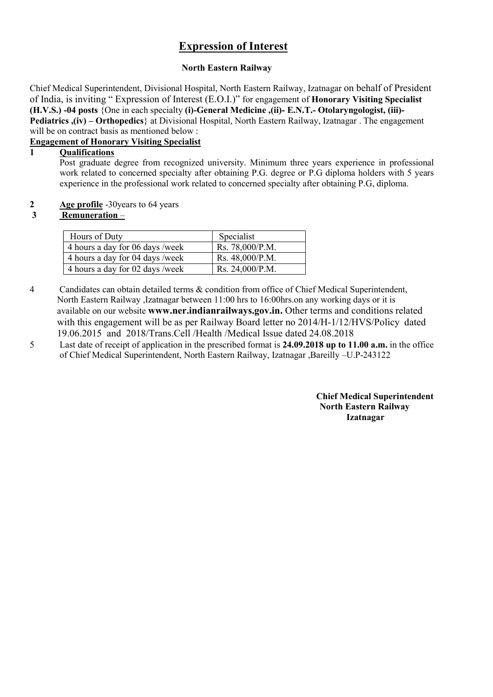# Expression of Interest

### North Eastern Railway

Chief Medical Superintendent, Divisional Hospital, North Eastern Railway, Izatnagar on behalf of President of India, is inviting " Expression of Interest (E.O.I.)" for engagement of Honorary Visiting Specialist (H.V.S.) -04 posts {One in each specialty (i)-General Medicine ,(ii)- E.N.T.- Otolaryngologist, (iii)- Pediatrics ,(iv) – Orthopedics} at Divisional Hospital, North Eastern Railway, Izatnagar . The engagement will be on contract basis as mentioned below :

### Engagement of Honorary Visiting Specialist

### 1 Qualifications

Post graduate degree from recognized university. Minimum three years experience in professional work related to concerned specialty after obtaining P.G. degree or P.G diploma holders with 5 years experience in the professional work related to concerned specialty after obtaining P.G, diploma.

2 Age profile -30years to 64 years

### 3 Remuneration –

| Hours of Duty                   | Specialist      |
|---------------------------------|-----------------|
| 4 hours a day for 06 days /week | Rs. 78,000/P.M. |
| 4 hours a day for 04 days /week | Rs. 48,000/P.M. |
| 4 hours a day for 02 days /week | Rs. 24,000/P.M. |

- 4 Candidates can obtain detailed terms & condition from office of Chief Medical Superintendent, North Eastern Railway ,Izatnagar between 11:00 hrs to 16:00hrs.on any working days or it is available on our website www.ner.indianrailways.gov.in. Other terms and conditions related with this engagement will be as per Railway Board letter no 2014/H-1/12/HVS/Policy dated 19.06.2015 and 2018/Trans.Cell /Health /Medical Issue dated 24.08.2018
- 5 Last date of receipt of application in the prescribed format is 24.09.2018 up to 11.00 a.m. in the office of Chief Medical Superintendent, North Eastern Railway, Izatnagar ,Bareilly –U.P-243122

Chief Medical Superintendent North Eastern Railway Izatnagar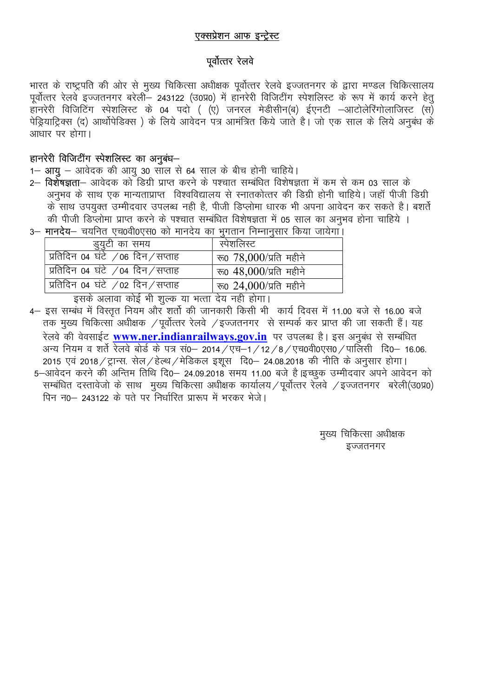### एक्सप्रेशन आफ इन्ट्रेस्ट

## पूर्वोत्तर रेलवे

भारत के राष्ट्रपति की ओर से मुख्य चिकित्सा अधीक्षक पूर्वोत्तर रेलवे इज्जतनगर के द्वारा मण्डल चिकित्सालय पूर्वोत्तर रेलवे इज्जतनगर बरेली - 243122 (उ0प्र0) में हानरेरी विजिटींग स्पेशलिस्ट के रूप में कार्य करने हेत् हानरेरी विजिटिंग स्पेशलिस्ट के 04 पदो ( (ए) जनरल मेडीसीन(ब) ईएनटी –आटोलेरिंगोलाजिस्ट (स) पेड़ियाट्रिक्स (द) आर्थोपेडिक्स ) के लिये आवेदन पत्र आमंत्रित किये जाते हैं। जो एक साल के लिये अनुबंध के आधार पर होगा।

### हानरेरी विजिटींग स्पेशलिस्ट का अनुबंध-

- 1– आयू आवेदक की आयू 30 साल से 64 साल के बीच होनी चाहिये।
- 2— **विशेषज्ञता** आवेदक को डिग्री प्राप्त करने के पश्चात सम्बंधित विशेषज्ञता में कम से कम 03 साल के अनभव के साथ एक मान्यताप्राप्त विश्वविद्यालय से स्नातकोत्तर की डिग्री होनी चाहिये। जहाँ पीजी डिग्री के साथ उपयुक्त उम्मीदवार उपलब्ध नही है, पीजी डिप्लोमा धारक भी अपना आवेदन कर सकते है। बशर्ते की पीजी डिप्लोमा प्राप्त करने के पश्चात सम्बंधित विशेषज्ञता में 05 साल का अनुभव होना चाहिये ।

| मानदय— चयानत एच0910एस0 का मानदय का मुगतान ।नम्नानुसार ।कया जायगा। |                                |
|-------------------------------------------------------------------|--------------------------------|
| डुयुटी का समय                                                     | स्पेशलिस्ट                     |
| प्रतिदिन 04 घंटे /06 दिन/सप्ताह                                   | रू0 $78,000/\text{y}$ ति महीने |
| प्रतिदिन 04 घंटे /04 दिन/सप्ताह                                   | रू0 $48,000/\pi$ ति महीने      |
| प्रतिदिन 04 घंटे /02 दिन/सप्ताह                                   | रू0 24,000/प्रति महीने         |
|                                                                   |                                |

इसके अलावा कोई भी शुल्क या भत्ता देय नही होगा।

- 4– इस सम्बंध में विस्तृत नियम और शर्तो की जानकारी किसी भी कार्य दिवस में 11.00 बजे से 16.00 बजे तक मुख्य चिकित्सा अधीक्षक / पूर्वोत्तर रेलवे / इज्जतनगर से सम्पर्क कर प्राप्त की जा सकती हैं। यह रेलवे की वेवसाईट www.ner.indianrailways.gov.in पर उपलब्ध है। इस अनुबंध से सम्बंधित अन्य नियम व शर्ते रेलवे बोर्ड के पत्र सं0- 2014 / एच-1 / 12 / 8 / एच0वी0एस0 / पालिसी दि0- 16.06. 2015 एवं 2018 / ट्रान्स. सेल / हेल्थ / मेडिकल इशुस दि0– 24.08.2018 की नीति के अनुसार होगा। 5–आवेदन करने की अन्तिम तिथि दि0– 24.09.2018 समय 11.00 बजे है |इच्छुक उम्मीदवार अपने आवेदन को
- सम्बंधित दस्तावेजो के साथ मुख्य चिकित्सा अधीक्षक कार्यालय / पूर्वोत्तर रेलवे / इज्जतनगर बरेली(उ०प्र0) पिन न0– 243122 के पते पर निर्धारित प्रारूप में भरकर भेजे।

मुख्य चिकित्सा अधीक्षक इज्जतनगर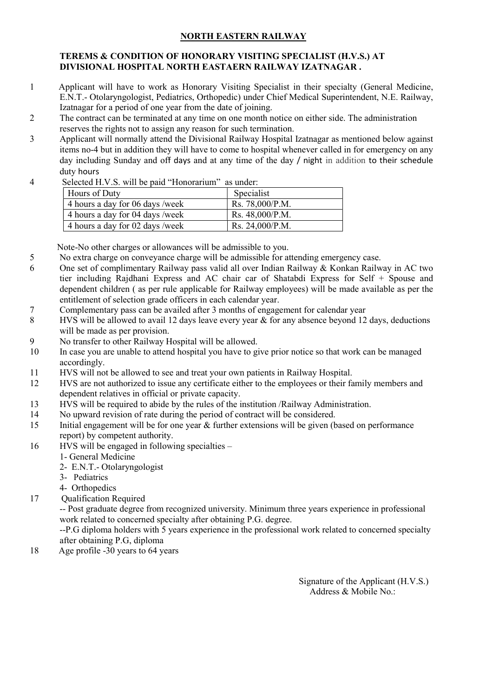### NORTH EASTERN RAILWAY

### TEREMS & CONDITION OF HONORARY VISITING SPECIALIST (H.V.S.) AT DIVISIONAL HOSPITAL NORTH EASTAERN RAILWAY IZATNAGAR .

- 1 Applicant will have to work as Honorary Visiting Specialist in their specialty (General Medicine, E.N.T.- Otolaryngologist, Pediatrics, Orthopedic) under Chief Medical Superintendent, N.E. Railway, Izatnagar for a period of one year from the date of joining.
- 2 The contract can be terminated at any time on one month notice on either side. The administration reserves the rights not to assign any reason for such termination.
- 3 Applicant will normally attend the Divisional Railway Hospital Izatnagar as mentioned below against items no-4 but in addition they will have to come to hospital whenever called in for emergency on any day including Sunday and off days and at any time of the day / night in addition to their schedule duty hours
- 4 Selected H.V.S. will be paid "Honorarium" as under:

| Hours of Duty                   | Specialist      |
|---------------------------------|-----------------|
| 4 hours a day for 06 days /week | Rs. 78,000/P.M. |
| 4 hours a day for 04 days /week | Rs. 48,000/P.M. |
| 4 hours a day for 02 days /week | Rs. 24,000/P.M. |

Note-No other charges or allowances will be admissible to you.

- 5 No extra charge on conveyance charge will be admissible for attending emergency case.
- 6 One set of complimentary Railway pass valid all over Indian Railway & Konkan Railway in AC two tier including Rajdhani Express and AC chair car of Shatabdi Express for Self + Spouse and dependent children ( as per rule applicable for Railway employees) will be made available as per the entitlement of selection grade officers in each calendar year.
- 7 Complementary pass can be availed after 3 months of engagement for calendar year
- 8 HVS will be allowed to avail 12 days leave every year & for any absence beyond 12 days, deductions will be made as per provision.
- 9 No transfer to other Railway Hospital will be allowed.
- 10 In case you are unable to attend hospital you have to give prior notice so that work can be managed accordingly.
- 11 HVS will not be allowed to see and treat your own patients in Railway Hospital.
- 12 HVS are not authorized to issue any certificate either to the employees or their family members and dependent relatives in official or private capacity.
- 13 HVS will be required to abide by the rules of the institution /Railway Administration.
- 14 No upward revision of rate during the period of contract will be considered.
- 15 Initial engagement will be for one year & further extensions will be given (based on performance report) by competent authority.
- 16 HVS will be engaged in following specialties
	- 1- General Medicine
	- 2- E.N.T.- Otolaryngologist
	- 3- Pediatrics
	- 4- Orthopedics
- 17 Qualification Required

-- Post graduate degree from recognized university. Minimum three years experience in professional work related to concerned specialty after obtaining P.G. degree.

--P.G diploma holders with 5 years experience in the professional work related to concerned specialty after obtaining P.G, diploma

18 Age profile -30 years to 64 years

Signature of the Applicant (H.V.S.) Address & Mobile No.: